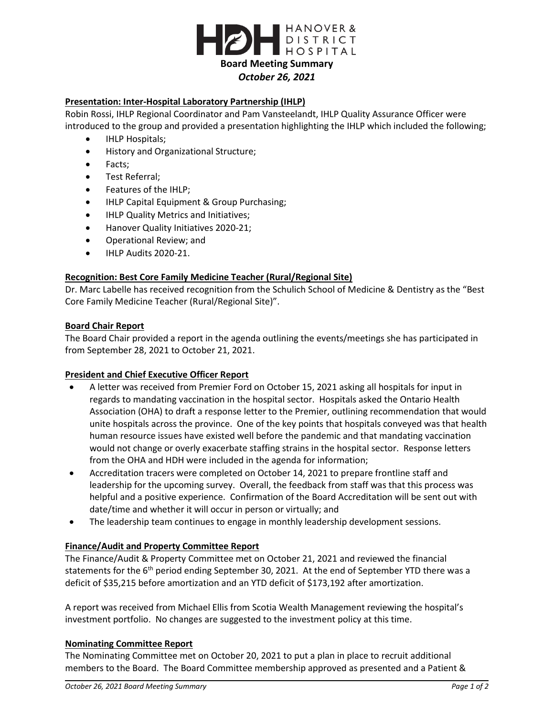

# **Presentation: Inter-Hospital Laboratory Partnership (IHLP)**

Robin Rossi, IHLP Regional Coordinator and Pam Vansteelandt, IHLP Quality Assurance Officer were introduced to the group and provided a presentation highlighting the IHLP which included the following;

- IHLP Hospitals;
- **•** History and Organizational Structure;
- Facts;
- Test Referral;
- Features of the IHLP;
- IHLP Capital Equipment & Group Purchasing;
- IHLP Quality Metrics and Initiatives;
- Hanover Quality Initiatives 2020-21;
- Operational Review; and
- IHLP Audits 2020-21.

### **Recognition: Best Core Family Medicine Teacher (Rural/Regional Site)**

Dr. Marc Labelle has received recognition from the Schulich School of Medicine & Dentistry as the "Best Core Family Medicine Teacher (Rural/Regional Site)".

#### **Board Chair Report**

The Board Chair provided a report in the agenda outlining the events/meetings she has participated in from September 28, 2021 to October 21, 2021.

### **President and Chief Executive Officer Report**

- A letter was received from Premier Ford on October 15, 2021 asking all hospitals for input in regards to mandating vaccination in the hospital sector. Hospitals asked the Ontario Health Association (OHA) to draft a response letter to the Premier, outlining recommendation that would unite hospitals across the province. One of the key points that hospitals conveyed was that health human resource issues have existed well before the pandemic and that mandating vaccination would not change or overly exacerbate staffing strains in the hospital sector. Response letters from the OHA and HDH were included in the agenda for information;
- Accreditation tracers were completed on October 14, 2021 to prepare frontline staff and leadership for the upcoming survey. Overall, the feedback from staff was that this process was helpful and a positive experience. Confirmation of the Board Accreditation will be sent out with date/time and whether it will occur in person or virtually; and
- The leadership team continues to engage in monthly leadership development sessions.

### **Finance/Audit and Property Committee Report**

The Finance/Audit & Property Committee met on October 21, 2021 and reviewed the financial statements for the  $6<sup>th</sup>$  period ending September 30, 2021. At the end of September YTD there was a deficit of \$35,215 before amortization and an YTD deficit of \$173,192 after amortization.

A report was received from Michael Ellis from Scotia Wealth Management reviewing the hospital's investment portfolio. No changes are suggested to the investment policy at this time.

### **Nominating Committee Report**

The Nominating Committee met on October 20, 2021 to put a plan in place to recruit additional members to the Board. The Board Committee membership approved as presented and a Patient &